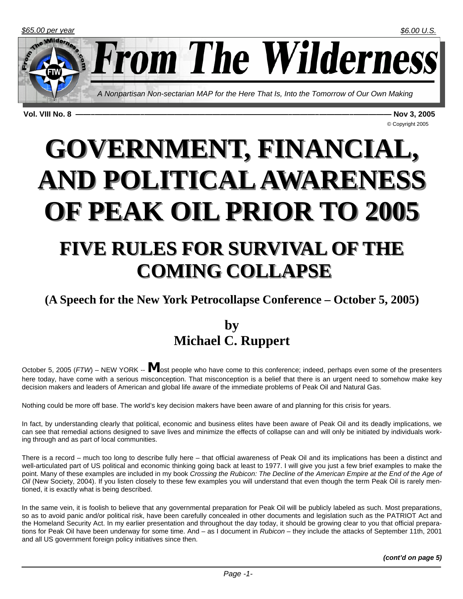© Copyright 2005



**Vol. VIII No. 8 ——–——————–———————————————————–———–————–————— Nov 3, 2005** 

# **GOVERNMENT, FINANCIAL, GOVERNMENT, FINANCIAL, AND POLITICAL AWARENESS AND POLITICAL AWARENESS OF PEAK OIL PRIOR TO 2005 OF PEAK OIL PRIOR TO 2005**

## **FIVE RULES FOR SURVIVAL OF THE FIVE RULES FOR SURVIVAL OF THE COMING COLLAPSE**

## **(A Speech for the New York Petrocollapse Conference – October 5, 2005)**

## **by Michael C. Ruppert**

October 5, 2005 (*FTW*) – NEW YORK -- **M**ost people who have come to this conference; indeed, perhaps even some of the presenters here today, have come with a serious misconception. That misconception is a belief that there is an urgent need to somehow make key decision makers and leaders of American and global life aware of the immediate problems of Peak Oil and Natural Gas.

Nothing could be more off base. The world's key decision makers have been aware of and planning for this crisis for years.

In fact, by understanding clearly that political, economic and business elites have been aware of Peak Oil and its deadly implications, we can see that remedial actions designed to save lives and minimize the effects of collapse can and will only be initiated by individuals working through and as part of local communities.

There is a record – much too long to describe fully here – that official awareness of Peak Oil and its implications has been a distinct and well-articulated part of US political and economic thinking going back at least to 1977. I will give you just a few brief examples to make the point. Many of these examples are included in my book *Crossing the Rubicon: The Decline of the American Empire at the End of the Age of Oil* (New Society, 2004). If you listen closely to these few examples you will understand that even though the term Peak Oil is rarely mentioned, it is exactly what is being described.

In the same vein, it is foolish to believe that any governmental preparation for Peak Oil will be publicly labeled as such. Most preparations, so as to avoid panic and/or political risk, have been carefully concealed in other documents and legislation such as the PATRIOT Act and the Homeland Security Act. In my earlier presentation and throughout the day today, it should be growing clear to you that official preparations for Peak Oil have been underway for some time. And – as I document in *Rubicon* – they include the attacks of September 11th, 2001 and all US government foreign policy initiatives since then.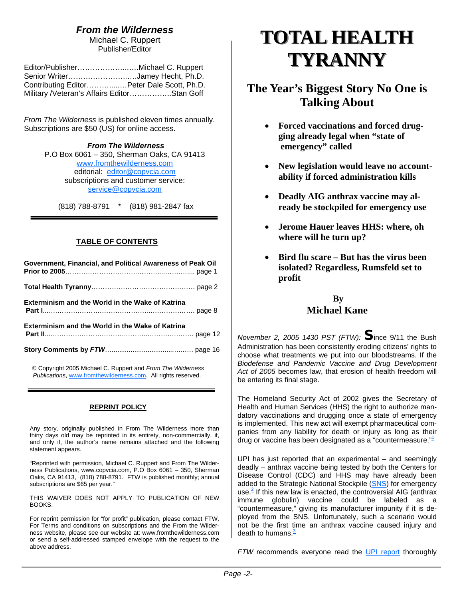## *From the Wilderness*

Michael C. Ruppert Publisher/Editor

| Editor/PublisherMichael C. Ruppert           |  |
|----------------------------------------------|--|
| Senior WriterJamey Hecht, Ph.D.              |  |
| Contributing EditorPeter Dale Scott, Ph.D.   |  |
| Military / Veteran's Affairs EditorStan Goff |  |

*From The Wilderness* is published eleven times annually. Subscriptions are \$50 (US) for online access.

> *From The Wilderness*  P.O Box 6061 – 350, Sherman Oaks, CA 91413 www.fromthewilderness.com editorial: editor@copvcia.com subscriptions and customer service: service@copvcia.com

(818) 788-8791 \* (818) 981-2847 fax

## **TABLE OF CONTENTS**

| Government, Financial, and Political Awareness of Peak Oil |  |
|------------------------------------------------------------|--|
|                                                            |  |
| <b>Exterminism and the World in the Wake of Katrina</b>    |  |
| <b>Exterminism and the World in the Wake of Katrina</b>    |  |
|                                                            |  |

© Copyright 2005 Michael C. Ruppert and *From The Wilderness Publications*, www.fromthewilderness.com. All rights reserved.

## **REPRINT POLICY**

i

Any story, originally published in From The Wilderness more than thirty days old may be reprinted in its entirety, non-commercially, if, and only if, the author's name remains attached and the following statement appears.

"Reprinted with permission, Michael C. Ruppert and From The Wilderness Publications, www.copvcia.com, P.O Box 6061 – 350, Sherman Oaks, CA 91413, (818) 788-8791. FTW is published monthly; annual subscriptions are \$65 per year."

THIS WAIVER DOES NOT APPLY TO PUBLICATION OF NEW BOOKS.

For reprint permission for "for profit" publication, please contact FTW. For Terms and conditions on subscriptions and the From the Wilderness website, please see our website at: www.fromthewilderness.com or send a self-addressed stamped envelope with the request to the above address.

## **TOTAL HEALTH TYRANNY TYRANNY**

## **The Year's Biggest Story No One is Talking About**

- **Forced vaccinations and forced drugging already legal when "state of emergency" called**
- **New legislation would leave no accountability if forced administration kills**
- **Deadly AIG anthrax vaccine may already be stockpiled for emergency use**
- **Jerome Hauer leaves HHS: where, oh where will he turn up?**
- **Bird flu scare But has the virus been isolated? Regardless, Rumsfeld set to profit**

## **By Michael Kane**

*November 2, 2005 1430 PST (FTW):* **S**ince 9/11 the Bush Administration has been consistently eroding citizens' rights to choose what treatments we put into our bloodstreams. If the *Biodefense and Pandemic Vaccine and Drug Development Act of 2005* becomes law, that erosion of health freedom will be entering its final stage.

The Homeland Security Act of 2002 gives the Secretary of Health and Human Services (HHS) the right to authorize mandatory vaccinations and drugging once a state of emergency is implemented. This new act will exempt pharmaceutical companies from any liability for death or injury as long as their drug or vaccine has been designated as a "countermeasure."<sup>1</sup>

UPI has just reported that an experimental – and seemingly deadly – anthrax vaccine being tested by both the Centers for Disease Control (CDC) and HHS may have already been added to the Strategic National Stockpile (SNS) for emergency use.<sup>2</sup> If this new law is enacted, the controversial AIG (anthrax immune globulin) vaccine could be labeled as a "countermeasure," giving its manufacturer impunity if it is deployed from the SNS. Unfortunately, such a scenario would not be the first time an anthrax vaccine caused injury and death to humans. $\frac{3}{2}$ 

FTW recommends everyone read the UPI report thoroughly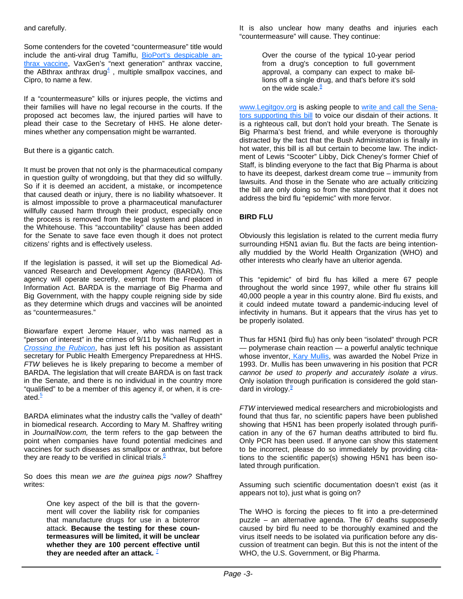#### and carefully.

Some contenders for the coveted "countermeasure" title would include the anti-viral drug Tamiflu, BioPort's despicable anthrax vaccine, VaxGen's "next generation" anthrax vaccine, the ABthrax anthrax drug $4$ , multiple smallpox vaccines, and Cipro, to name a few.

If a "countermeasure" kills or injures people, the victims and their families will have no legal recourse in the courts. If the proposed act becomes law, the injured parties will have to plead their case to the Secretary of HHS. He alone determines whether any compensation might be warranted.

But there is a gigantic catch.

It must be proven that not only is the pharmaceutical company in question guilty of wrongdoing, but that they did so willfully. So if it is deemed an accident, a mistake, or incompetence that caused death or injury, there is no liability whatsoever. It is almost impossible to prove a pharmaceutical manufacturer willfully caused harm through their product, especially once the process is removed from the legal system and placed in the Whitehouse. This "accountability" clause has been added for the Senate to save face even though it does not protect citizens' rights and is effectively useless.

If the legislation is passed, it will set up the Biomedical Advanced Research and Development Agency (BARDA). This agency will operate secretly, exempt from the Freedom of Information Act. BARDA is the marriage of Big Pharma and Big Government, with the happy couple reigning side by side as they determine which drugs and vaccines will be anointed as "countermeasures."

Biowarfare expert Jerome Hauer, who was named as a "person of interest" in the crimes of 9/11 by Michael Ruppert in *Crossing the Rubicon*, has just left his position as assistant secretary for Public Health Emergency Preparedness at HHS. *FTW* believes he is likely preparing to become a member of BARDA. The legislation that will create BARDA is on fast track in the Senate, and there is no individual in the country more "qualified" to be a member of this agency if, or when, it is created $\frac{5}{5}$ 

BARDA eliminates what the industry calls the "valley of death" in biomedical research. According to Mary M. Shaffrey writing in *JournalNow.com,* the term refers to the gap between the point when companies have found potential medicines and vaccines for such diseases as smallpox or anthrax, but before they are ready to be verified in clinical trials. $6$ 

So does this mean *we are the guinea pigs now?* Shaffrey writes:

> One key aspect of the bill is that the government will cover the liability risk for companies that manufacture drugs for use in a bioterror attack. **Because the testing for these countermeasures will be limited, it will be unclear whether they are 100 percent effective until**  they are needed after an attack.  $\frac{7}{2}$

It is also unclear how many deaths and injuries each "countermeasure" will cause. They continue:

> Over the course of the typical 10-year period from a drug's conception to full government approval, a company can expect to make billions off a single drug, and that's before it's sold on the wide scale. $8$

www.Legitgov.org is asking people to write and call the Senators supporting this bill to voice our disdain of their actions. It is a righteous call, but don't hold your breath. The Senate is Big Pharma's best friend, and while everyone is thoroughly distracted by the fact that the Bush Administration is finally in hot water, this bill is all but certain to become law. The indictment of Lewis "Scooter" Libby, Dick Cheney's former Chief of Staff, is blinding everyone to the fact that Big Pharma is about to have its deepest, darkest dream come true – immunity from lawsuits. And those in the Senate who are actually criticizing the bill are only doing so from the standpoint that it does not address the bird flu "epidemic" with more fervor.

## **BIRD FLU**

Obviously this legislation is related to the current media flurry surrounding H5N1 avian flu. But the facts are being intentionally muddied by the World Health Organization (WHO) and other interests who clearly have an ulterior agenda.

This "epidemic" of bird flu has killed a mere 67 people throughout the world since 1997, while other flu strains kill 40,000 people a year in this country alone. Bird flu exists, and it could indeed mutate toward a pandemic-inducing level of infectivity in humans. But it appears that the virus has yet to be properly isolated.

Thus far H5N1 (bird flu) has only been "isolated" through PCR — polymerase chain reaction — a powerful analytic technique whose inventor, Kary Mullis, was awarded the Nobel Prize in 1993. Dr. Mullis has been unwavering in his position that PCR *cannot be used to properly and accurately isolate a virus*. Only isolation through purification is considered the gold standard in virology. $\frac{9}{5}$ 

*FTW* interviewed medical researchers and microbiologists and found that thus far, no scientific papers have been published showing that H5N1 has been properly isolated through purification in any of the 67 human deaths attributed to bird flu. Only PCR has been used. If anyone can show this statement to be incorrect, please do so immediately by providing citations to the scientific paper(s) showing H5N1 has been isolated through purification.

Assuming such scientific documentation doesn't exist (as it appears not to), just what is going on?

The WHO is forcing the pieces to fit into a pre-determined puzzle – an alternative agenda. The 67 deaths supposedly caused by bird flu need to be thoroughly examined and the virus itself needs to be isolated via purification before any discussion of treatment can begin. But this is not the intent of the WHO, the U.S. Government, or Big Pharma.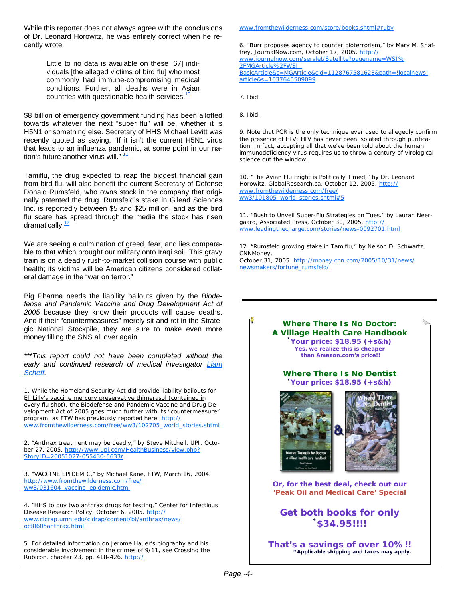While this reporter does not always agree with the conclusions of Dr. Leonard Horowitz, he was entirely correct when he recently wrote:

> Little to no data is available on these [67] individuals [the alleged victims of bird flu] who most commonly had immune-compromising medical conditions. Further, all deaths were in Asian countries with questionable health services. $\frac{10}{10}$

\$8 billion of emergency government funding has been allotted towards whatever the next "super flu" will be, whether it is H5N1 or something else. Secretary of HHS Michael Levitt was recently quoted as saying, "If it isn't the current H5N1 virus that leads to an influenza pandemic, at some point in our nation's future another virus will."  $\frac{11}{1}$ 

Tamiflu, the drug expected to reap the biggest financial gain from bird flu, will also benefit the current Secretary of Defense Donald Rumsfeld, who owns stock in the company that originally patented the drug. Rumsfeld's stake in Gilead Sciences Inc. is reportedly between \$5 and \$25 million, and as the bird flu scare has spread through the media the stock has risen dramatically. $\frac{12}{1}$ 

We are seeing a culmination of greed, fear, and lies comparable to that which brought our military onto Iraqi soil. This gravy train is on a deadly rush-to-market collision course with public health; its victims will be American citizens considered collateral damage in the "war on terror."

Big Pharma needs the liability bailouts given by the *Biodefense and Pandemic Vaccine and Drug Development Act of 2005* because they know their products will cause deaths. And if their "countermeasures" merely sit and rot in the Strategic National Stockpile, they are sure to make even more money filling the SNS all over again.

*\*\*\*This report could not have been completed without the early and continued research of medical investigator Liam Scheff.*

1. While the Homeland Security Act did provide liability bailouts for Eli Lilly's vaccine mercury preservative thimerasol (contained in every flu shot), the Biodefense and Pandemic Vaccine and Drug Development Act of 2005 goes much further with its "countermeasure" program, as *FTW* has previously reported here: http:// www.fromthewilderness.com/free/ww3/102705\_world\_stories.shtml

2. "Anthrax treatment may be deadly," by Steve Mitchell, *UPI*, October 27, 2005. http://www.upi.com/HealthBusiness/view.php? StoryID=20051027-055430-5633r

3. "VACCINE EPIDEMIC," by Michael Kane, *FTW,* March 16, 2004. http://www.fromthewilderness.com/free/ ww3/031604\_vaccine\_epidemic.html

4. "HHS to buy two anthrax drugs for testing," Center for Infectious Disease Research Policy, October 6, 2005. http:// www.cidrap.umn.edu/cidrap/content/bt/anthrax/news/ oct0605anthrax.html

5. For detailed information on Jerome Hauer's biography and his considerable involvement in the crimes of 9/11, see *Crossing the Rubicon,* chapter 23, pp. 418-426. http://

www.fromthewilderness.com/store/books.shtml#ruby

6. "Burr proposes agency to counter bioterrorism," by Mary M. Shaffrey, *JournalNow.com,* October 17, 2005. http:// www.journalnow.com/servlet/Satellite?pagename=WSJ% 2FMGArticle%2FWSJ\_ BasicArticle&c=MGArticle&cid=1128767581623&path=!localnews! article&s=1037645509099

7. Ibid.

8. Ibid.

9. Note that PCR is the only technique ever used to allegedly confirm the presence of HIV; HIV has never been isolated through purification. In fact, accepting all that we've been told about the human immunodeficiency virus requires us to throw a century of virological science out the window.

10. "The Avian Flu Fright is Politically Timed," by Dr. Leonard Horowitz, *GlobalResearch.ca,* October 12, 2005. http:// www.fromthewilderness.com/free/ ww3/101805\_world\_stories.shtml#5

11. "Bush to Unveil Super-Flu Strategies on Tues." by Lauran Neergaard, *Associated Press,* October 30, 2005. http:// www.leadingthecharge.com/stories/news-0092701.html

12. "Rumsfeld growing stake in Tamiflu," by Nelson D. Schwartz, *CNNMoney,*  October 31, 2005. http://money.cnn.com/2005/10/31/news/

newsmakers/fortune\_rumsfeld/

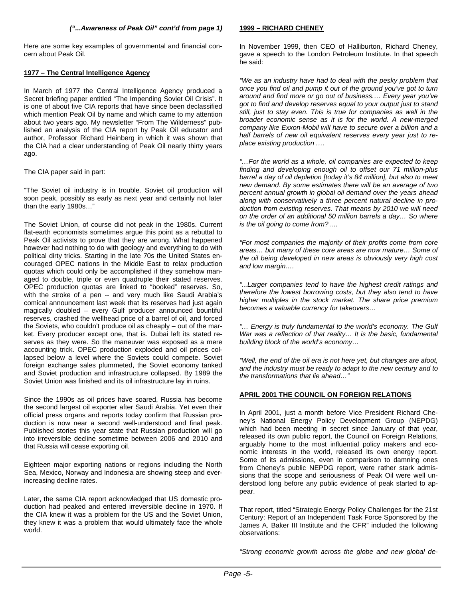#### *("...Awareness of Peak Oil" cont'd from page 1)*

Here are some key examples of governmental and financial concern about Peak Oil.

#### **1977 – The Central Intelligence Agency**

In March of 1977 the Central Intelligence Agency produced a Secret briefing paper entitled "The Impending Soviet Oil Crisis". It is one of about five CIA reports that have since been declassified which mention Peak Oil by name and which came to my attention about two years ago. My newsletter "From The Wilderness" published an analysis of the CIA report by Peak Oil educator and author, Professor Richard Heinberg in which it was shown that the CIA had a clear understanding of Peak Oil nearly thirty years ago.

The CIA paper said in part:

"The Soviet oil industry is in trouble. Soviet oil production will soon peak, possibly as early as next year and certainly not later than the early 1980s…"

The Soviet Union, of course did not peak in the 1980s. Current flat-earth economists sometimes argue this point as a rebuttal to Peak Oil activists to prove that they are wrong. What happened however had nothing to do with geology and everything to do with political dirty tricks. Starting in the late 70s the United States encouraged OPEC nations in the Middle East to relax production quotas which could only be accomplished if they somehow managed to double, triple or even quadruple their stated reserves. OPEC production quotas are linked to "booked" reserves. So, with the stroke of a pen -- and very much like Saudi Arabia's comical announcement last week that its reserves had just again magically doubled – every Gulf producer announced bountiful reserves, crashed the wellhead price of a barrel of oil, and forced the Soviets, who couldn't produce oil as cheaply – out of the market. Every producer except one, that is. Dubai left its stated reserves as they were. So the maneuver was exposed as a mere accounting trick. OPEC production exploded and oil prices collapsed below a level where the Soviets could compete. Soviet foreign exchange sales plummeted, the Soviet economy tanked and Soviet production and infrastructure collapsed. By 1989 the Soviet Union was finished and its oil infrastructure lay in ruins.

Since the 1990s as oil prices have soared, Russia has become the second largest oil exporter after Saudi Arabia. Yet even their official press organs and reports today confirm that Russian production is now near a second well-understood and final peak. Published stories this year state that Russian production will go into irreversible decline sometime between 2006 and 2010 and that Russia will cease exporting oil.

Eighteen major exporting nations or regions including the North Sea, Mexico, Norway and Indonesia are showing steep and everincreasing decline rates.

Later, the same CIA report acknowledged that US domestic production had peaked and entered irreversible decline in 1970. If the CIA knew it was a problem for the US and the Soviet Union, they knew it was a problem that would ultimately face the whole world.

## **1999 – RICHARD CHENEY**

In November 1999, then CEO of Halliburton, Richard Cheney, gave a speech to the London Petroleum Institute. In that speech he said:

*"We as an industry have had to deal with the pesky problem that once you find oil and pump it out of the ground you've got to turn around and find more or go out of business.… Every year you've got to find and develop reserves equal to your output just to stand still, just to stay even. This is true for companies as well in the broader economic sense as it is for the world. A new-merged company like Exxon-Mobil will have to secure over a billion and a half barrels of new oil equivalent reserves every year just to replace existing production .…*

*"…For the world as a whole, oil companies are expected to keep finding and developing enough oil to offset our 71 million-plus barrel a day of oil depletion [today it's 84 million], but also to meet new demand. By some estimates there will be an average of two percent annual growth in global oil demand over the years ahead along with conservatively a three percent natural decline in production from existing reserves. That means by 2010 we will need on the order of an additional 50 million barrels a day… So where is the oil going to come from? ....*

*"For most companies the majority of their profits come from core areas… but many of these core areas are now mature… Some of the oil being developed in new areas is obviously very high cost and low margin.…*

*"...Larger companies tend to have the highest credit ratings and therefore the lowest borrowing costs, but they also tend to have higher multiples in the stock market. The share price premium becomes a valuable currency for takeovers…*

*"… Energy is truly fundamental to the world's economy. The Gulf War was a reflection of that reality… It is the basic, fundamental building block of the world's economy…*

*"Well, the end of the oil era is not here yet, but changes are afoot, and the industry must be ready to adapt to the new century and to the transformations that lie ahead…"*

#### **APRIL 2001 THE COUNCIL ON FOREIGN RELATIONS**

In April 2001, just a month before Vice President Richard Cheney's National Energy Policy Development Group (NEPDG) which had been meeting in secret since January of that year, released its own public report, the Council on Foreign Relations, arguably home to the most influential policy makers and economic interests in the world, released its own energy report. Some of its admissions, even in comparison to damning ones from Cheney's public NEPDG report, were rather stark admissions that the scope and seriousness of Peak Oil were well understood long before any public evidence of peak started to appear.

That report, titled "Strategic Energy Policy Challenges for the 21st Century: Report of an Independent Task Force Sponsored by the James A. Baker III Institute and the CFR" included the following observations:

*"Strong economic growth across the globe and new global de-*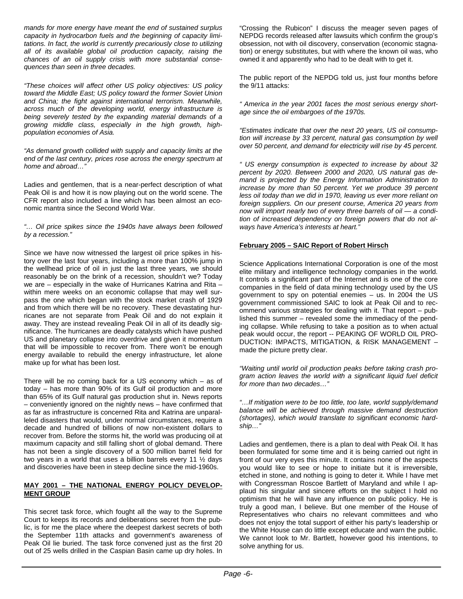*mands for more energy have meant the end of sustained surplus capacity in hydrocarbon fuels and the beginning of capacity limitations. In fact, the world is currently precariously close to utilizing all of its available global oil production capacity, raising the chances of an oil supply crisis with more substantial consequences than seen in three decades.*

*"These choices will affect other US policy objectives: US policy toward the Middle East; US policy toward the former Soviet Union and China; the fight against international terrorism. Meanwhile, across much of the developing world, energy infrastructure is being severely tested by the expanding material demands of a growing middle class, especially in the high growth, highpopulation economies of Asia.*

*"As demand growth collided with supply and capacity limits at the end of the last century, prices rose across the energy spectrum at home and abroad…"*

Ladies and gentlemen, that is a near-perfect description of what Peak Oil is and how it is now playing out on the world scene. The CFR report also included a line which has been almost an economic mantra since the Second World War.

*"… Oil price spikes since the 1940s have always been followed by a recession."*

Since we have now witnessed the largest oil price spikes in history over the last four years, including a more than 100% jump in the wellhead price of oil in just the last three years, we should reasonably be on the brink of a recession, shouldn't we? Today we are – especially in the wake of Hurricanes Katrina and Rita – within mere weeks on an economic collapse that may well surpass the one which began with the stock market crash of 1929 and from which there will be no recovery. These devastating hurricanes are not separate from Peak Oil and do not explain it away. They are instead revealing Peak Oil in all of its deadly significance. The hurricanes are deadly catalysts which have pushed US and planetary collapse into overdrive and given it momentum that will be impossible to recover from. There won't be enough energy available to rebuild the energy infrastructure, let alone make up for what has been lost.

There will be no coming back for a US economy which – as of today – has more than 90% of its Gulf oil production and more than 65% of its Gulf natural gas production shut in. News reports – conveniently ignored on the nightly news – have confirmed that as far as infrastructure is concerned Rita and Katrina are unparalleled disasters that would, under normal circumstances, require a decade and hundred of billions of now non-existent dollars to recover from. Before the storms hit, the world was producing oil at maximum capacity and still falling short of global demand. There has not been a single discovery of a 500 million barrel field for two years in a world that uses a billion barrels every 11 ½ days and discoveries have been in steep decline since the mid-1960s.

#### **MAY 2001 – THE NATIONAL ENERGY POLICY DEVELOP-MENT GROUP**

This secret task force, which fought all the way to the Supreme Court to keeps its records and deliberations secret from the public, is for me the place where the deepest darkest secrets of both the September 11th attacks and government's awareness of Peak Oil lie buried. The task force convened just as the first 20 out of 25 wells drilled in the Caspian Basin came up dry holes. In

"Crossing the Rubicon" I discuss the meager seven pages of NEPDG records released after lawsuits which confirm the group's obsession, not with oil discovery, conservation (economic stagnation) or energy substitutes, but with where the known oil was, who owned it and apparently who had to be dealt with to get it.

The public report of the NEPDG told us, just four months before the 9/11 attacks:

*" America in the year 2001 faces the most serious energy shortage since the oil embargoes of the 1970s.*

*"Estimates indicate that over the next 20 years, US oil consumption will increase by 33 percent, natural gas consumption by well over 50 percent, and demand for electricity will rise by 45 percent.*

*" US energy consumption is expected to increase by about 32 percent by 2020. Between 2000 and 2020, US natural gas demand is projected by the Energy Information Administration to increase by more than 50 percent. Yet we produce 39 percent less oil today than we did in 1970, leaving us ever more reliant on foreign suppliers. On our present course, America 20 years from now will import nearly two of every three barrels of oil — a condition of increased dependency on foreign powers that do not always have America's interests at heart."*

#### **February 2005 – SAIC Report of Robert Hirsch**

Science Applications International Corporation is one of the most elite military and intelligence technology companies in the world. It controls a significant part of the Internet and is one of the core companies in the field of data mining technology used by the US government to spy on potential enemies – us. In 2004 the US government commissioned SAIC to look at Peak Oil and to recommend various strategies for dealing with it. That report – published this summer – revealed some the immediacy of the pending collapse. While refusing to take a position as to when actual peak would occur, the report -- PEAKING OF WORLD OIL PRO-DUCTION: IMPACTS, MITIGATION, & RISK MANAGEMENT – made the picture pretty clear.

*"Waiting until world oil production peaks before taking crash program action leaves the world with a significant liquid fuel deficit for more than two decades…"*

*"…If mitigation were to be too little, too late, world supply/demand balance will be achieved through massive demand destruction (shortages), which would translate to significant economic hardship…"*

Ladies and gentlemen, there is a plan to deal with Peak Oil. It has been formulated for some time and it is being carried out right in front of our very eyes this minute. It contains none of the aspects you would like to see or hope to initiate but it is irreversible, etched in stone, and nothing is going to deter it. While I have met with Congressman Roscoe Bartlett of Maryland and while I applaud his singular and sincere efforts on the subject I hold no optimism that he will have any influence on public policy. He is truly a good man, I believe. But one member of the House of Representatives who chairs no relevant committees and who does not enjoy the total support of either his party's leadership or the White House can do little except educate and warn the public. We cannot look to Mr. Bartlett, however good his intentions, to solve anything for us.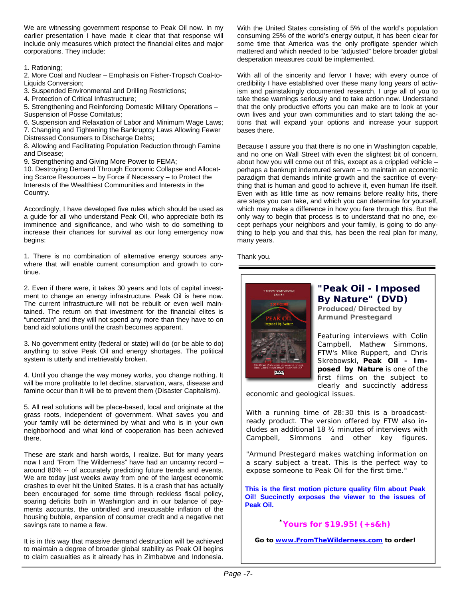We are witnessing government response to Peak Oil now. In my earlier presentation I have made it clear that that response will include only measures which protect the financial elites and major corporations. They include:

#### 1. Rationing;

2. More Coal and Nuclear – Emphasis on Fisher-Tropsch Coal-to-Liquids Conversion;

3. Suspended Environmental and Drilling Restrictions;

4. Protection of Critical Infrastructure;

5. Strengthening and Reinforcing Domestic Military Operations – Suspension of Posse Comitatus;

6. Suspension and Relaxation of Labor and Minimum Wage Laws; 7. Changing and Tightening the Bankruptcy Laws Allowing Fewer Distressed Consumers to Discharge Debts;

8. Allowing and Facilitating Population Reduction through Famine and Disease;

9. Strengthening and Giving More Power to FEMA;

10. Destroying Demand Through Economic Collapse and Allocating Scarce Resources – by Force if Necessary – to Protect the Interests of the Wealthiest Communities and Interests in the Country.

Accordingly, I have developed five rules which should be used as a guide for all who understand Peak Oil, who appreciate both its imminence and significance, and who wish to do something to increase their chances for survival as our long emergency now begins:

1. There is no combination of alternative energy sources anywhere that will enable current consumption and growth to continue.

2. Even if there were, it takes 30 years and lots of capital investment to change an energy infrastructure. Peak Oil is here now. The current infrastructure will not be rebuilt or even well maintained. The return on that investment for the financial elites is "uncertain" and they will not spend any more than they have to on band aid solutions until the crash becomes apparent.

3. No government entity (federal or state) will do (or be able to do) anything to solve Peak Oil and energy shortages. The political system is utterly and irretrievably broken.

4. Until you change the way money works, you change nothing. It will be more profitable to let decline, starvation, wars, disease and famine occur than it will be to prevent them (Disaster Capitalism).

5. All real solutions will be place-based, local and originate at the grass roots, independent of government. What saves you and your family will be determined by what and who is in your own neighborhood and what kind of cooperation has been achieved there.

These are stark and harsh words, I realize. But for many years now I and "From The Wilderness" have had an uncanny record – around 80% -- of accurately predicting future trends and events. We are today just weeks away from one of the largest economic crashes to ever hit the United States. It is a crash that has actually been encouraged for some time through reckless fiscal policy, soaring deficits both in Washington and in our balance of payments accounts, the unbridled and inexcusable inflation of the housing bubble, expansion of consumer credit and a negative net savings rate to name a few.

It is in this way that massive demand destruction will be achieved to maintain a degree of broader global stability as Peak Oil begins to claim casualties as it already has in Zimbabwe and Indonesia.

With the United States consisting of 5% of the world's population consuming 25% of the world's energy output, it has been clear for some time that America was the only profligate spender which mattered and which needed to be "adjusted" before broader global desperation measures could be implemented.

With all of the sincerity and fervor I have; with every ounce of credibility I have established over these many long years of activism and painstakingly documented research, I urge all of you to take these warnings seriously and to take action now. Understand that the only productive efforts you can make are to look at your own lives and your own communities and to start taking the actions that will expand your options and increase your support bases there.

Because I assure you that there is no one in Washington capable, and no one on Wall Street with even the slightest bit of concern, about how you will come out of this, except as a crippled vehicle – perhaps a bankrupt indentured servant – to maintain an economic paradigm that demands infinite growth and the sacrifice of everything that is human and good to achieve it, even human life itself. Even with as little time as now remains before reality hits, there are steps you can take, and which you can determine for yourself, which may make a difference in how you fare through this. But the only way to begin that process is to understand that no one, except perhaps your neighbors and your family, is going to do anything to help you and that this, has been the real plan for many, many years.

#### Thank you.



**"Peak Oil - Imposed By Nature" (DVD) Produced/Directed by Armund Prestegard**

Featuring interviews with Colin Campbell, Mathew Simmons, *FTW's* Mike Ruppert, and Chris Skrebowski, *Peak Oil - Imposed by Nature* is one of the first films on the subject to clearly and succinctly address

economic and geological issues.

With a running time of 28:30 this is a broadcastready product. The version offered by *FTW* also includes an additional 18 ½ minutes of interviews with Campbell, Simmons and other key figures.

"Armund Prestegard makes watching information on a scary subject a treat. This is the perfect way to expose someone to Peak Oil for the first time."

**This is the first motion picture quality film about Peak Oil! Succinctly exposes the viewer to the issues of Peak Oil.**

## **\*Yours for \$19.95! (+s&h)**

**Go to www.FromTheWilderness.com to order!**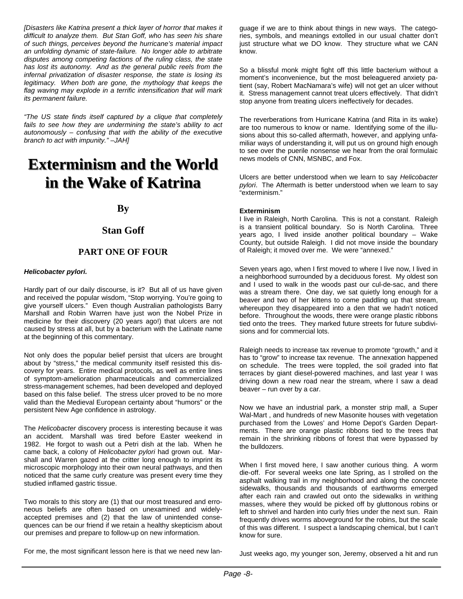*[Disasters like Katrina present a thick layer of horror that makes it difficult to analyze them. But Stan Goff, who has seen his share of such things, perceives beyond the hurricane's material impact an unfolding dynamic of state-failure. No longer able to arbitrate disputes among competing factions of the ruling class, the state has lost its autonomy. And as the general public reels from the infernal privatization of disaster response, the state is losing its legitimacy. When both are gone, the mythology that keeps the flag waving may explode in a terrific intensification that will mark its permanent failure.*

*"The US state finds itself captured by a clique that completely fails to see how they are undermining the state's ability to act autonomously – confusing that with the ability of the executive branch to act with impunity." –JAH]*

## **Exterminism and the World Exterminism and the World in the Wake of Katrina in the Wake of Katrina**

## **By**

## **Stan Goff**

## **PART ONE OF FOUR**

#### *Helicobacter pylori.*

Hardly part of our daily discourse, is it? But all of us have given and received the popular wisdom, "Stop worrying. You're going to give yourself ulcers." Even though Australian pathologists Barry Marshall and Robin Warren have just won the Nobel Prize in medicine for their discovery (20 years ago!) that ulcers are not caused by stress at all, but by a bacterium with the Latinate name at the beginning of this commentary.

Not only does the popular belief persist that ulcers are brought about by "stress," the medical community itself resisted this discovery for years. Entire medical protocols, as well as entire lines of symptom-amelioration pharmaceuticals and commercialized stress-management schemes, had been developed and deployed based on this false belief. The stress ulcer proved to be no more valid than the Medieval European certainty about "humors" or the persistent New Age confidence in astrology.

The *Helicobacter* discovery process is interesting because it was an accident. Marshall was tired before Easter weekend in 1982. He forgot to wash out a Petri dish at the lab. When he came back, a colony of *Helicobacter pylori* had grown out. Marshall and Warren gazed at the critter long enough to imprint its microscopic morphology into their own neural pathways, and then noticed that the same curly creature was present every time they studied inflamed gastric tissue.

Two morals to this story are (1) that our most treasured and erroneous beliefs are often based on unexamined and widelyaccepted premises and (2) that the law of unintended consequences can be our friend if we retain a healthy skepticism about our premises and prepare to follow-up on new information.

guage if we are to think about things in new ways. The categories, symbols, and meanings extolled in our usual chatter don't just structure what we DO know. They structure what we CAN know.

So a blissful monk might fight off this little bacterium without a moment's inconvenience, but the most beleaguered anxiety patient (say, Robert MacNamara's wife) will not get an ulcer without it. Stress management cannot treat ulcers effectively. That didn't stop anyone from treating ulcers ineffectively for decades.

The reverberations from Hurricane Katrina (and Rita in its wake) are too numerous to know or name. Identifying some of the illusions about this so-called aftermath, however, and applying unfamiliar ways of understanding it, will put us on ground high enough to see over the puerile nonsense we hear from the oral formulaic news models of CNN, MSNBC, and Fox.

Ulcers are better understood when we learn to say *Helicobacter pylori*. The Aftermath is better understood when we learn to say "exterminism."

#### **Exterminism**

I live in Raleigh, North Carolina. This is not a constant. Raleigh is a transient political boundary. So is North Carolina. Three years ago, I lived inside another political boundary – Wake County, but outside Raleigh. I did not move inside the boundary of Raleigh; it moved over me. We were "annexed."

Seven years ago, when I first moved to where I live now, I lived in a neighborhood surrounded by a deciduous forest. My oldest son and I used to walk in the woods past our cul-de-sac, and there was a stream there. One day, we sat quietly long enough for a beaver and two of her kittens to come paddling up that stream, whereupon they disappeared into a den that we hadn't noticed before. Throughout the woods, there were orange plastic ribbons tied onto the trees. They marked future streets for future subdivisions and for commercial lots.

Raleigh needs to increase tax revenue to promote "growth," and it has to "grow" to increase tax revenue. The annexation happened on schedule. The trees were toppled, the soil graded into flat terraces by giant diesel-powered machines, and last year I was driving down a new road near the stream, where I saw a dead beaver – run over by a car.

Now we have an industrial park, a monster strip mall, a Super Wal-Mart , and hundreds of new Masonite houses with vegetation purchased from the Lowes' and Home Depot's Garden Departments. There are orange plastic ribbons tied to the trees that remain in the shrinking ribbons of forest that were bypassed by the bulldozers.

When I first moved here, I saw another curious thing. A worm die-off. For several weeks one late Spring, as I strolled on the asphalt walking trail in my neighborhood and along the concrete sidewalks, thousands and thousands of earthworms emerged after each rain and crawled out onto the sidewalks in writhing masses, where they would be picked off by gluttonous robins or left to shrivel and harden into curly fries under the next sun. Rain frequently drives worms aboveground for the robins, but the scale of this was different. I suspect a landscaping chemical, but I can't know for sure.

For me, the most significant lesson here is that we need new lan-

Just weeks ago, my younger son, Jeremy, observed a hit and run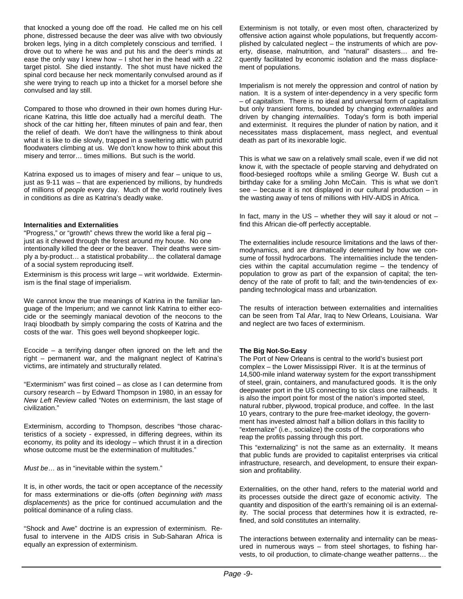that knocked a young doe off the road. He called me on his cell phone, distressed because the deer was alive with two obviously broken legs, lying in a ditch completely conscious and terrified. I drove out to where he was and put his and the deer's minds at ease the only way I knew how – I shot her in the head with a .22 target pistol. She died instantly. The shot must have nicked the spinal cord because her neck momentarily convulsed around as if she were trying to reach up into a thicket for a morsel before she convulsed and lay still.

Compared to those who drowned in their own homes during Hurricane Katrina, this little doe actually had a merciful death. The shock of the car hitting her, fifteen minutes of pain and fear, then the relief of death. We don't have the willingness to think about what it is like to die slowly, trapped in a sweltering attic with putrid floodwaters climbing at us. We don't know how to think about this misery and terror… times millions. But such is the world.

Katrina exposed us to images of misery and fear – unique to us, just as 9-11 was – that are experienced by millions, by hundreds of millions of *people* every day. Much of the world routinely lives in conditions as dire as Katrina's deadly wake.

#### **Internalities and Externalities**

"Progress," or "growth" chews threw the world like a feral pig – just as it chewed through the forest around my house. No one intentionally killed the deer or the beaver. Their deaths were simply a by-product… a statistical probability… the collateral damage of a social system reproducing itself.

Exterminism is this process writ large – writ worldwide. Exterminism is the final stage of imperialism.

We cannot know the true meanings of Katrina in the familiar language of the Imperium; and we cannot link Katrina to either ecocide or the seemingly maniacal devotion of the neocons to the Iraqi bloodbath by simply comparing the costs of Katrina and the costs of the war. This goes well beyond shopkeeper logic.

Ecocide – a terrifying danger often ignored on the left and the right – permanent war, and the malignant neglect of Katrina's victims, are intimately and structurally related.

"Exterminism" was first coined – as close as I can determine from cursory research – by Edward Thompson in 1980, in an essay for *New Left Review* called "Notes on exterminism, the last stage of civilization."

Exterminism, according to Thompson, describes "those characteristics of a society - expressed, in differing degrees, within its economy, its polity and its ideology – which thrust it in a direction whose outcome must be the extermination of multitudes."

*Must be*… as in "inevitable within the system."

It is, in other words, the tacit or open acceptance of the *necessity* for mass exterminations or die-offs (*often beginning with mass displacements*) as the price for continued accumulation and the political dominance of a ruling class.

"Shock and Awe" doctrine is an expression of exterminism. Refusal to intervene in the AIDS crisis in Sub-Saharan Africa is equally an expression of exterminism.

Exterminism is not totally, or even most often, characterized by offensive action against whole populations, but frequently accomplished by calculated neglect – the instruments of which are poverty, disease, malnutrition, and "natural" disasters… and frequently facilitated by economic isolation and the mass displacement of populations.

Imperialism is not merely the oppression and control of nation by nation. It is a system of inter-dependency in a very specific form – of *capitalism*. There is no ideal and universal form of capitalism but only transient forms, bounded by changing *externalities* and driven by changing *internalities*. Today's form is both imperial and exterminist. It requires the plunder of nation by nation, and it necessitates mass displacement, mass neglect, and eventual death as part of its inexorable logic.

This is what we saw on a relatively small scale, even if we did not know it, with the spectacle of people starving and dehydrated on flood-besieged rooftops while a smiling George W. Bush cut a birthday cake for a smiling John McCain. This is what we don't see – because it is not displayed in our cultural production – in the wasting away of tens of millions with HIV-AIDS in Africa.

In fact, many in the US – whether they will say it aloud or not – find this African die-off perfectly acceptable.

The externalities include resource limitations and the laws of thermodynamics, and are dramatically determined by how we consume of fossil hydrocarbons. The internalities include the tendencies within the capital accumulation regime – the tendency of population to grow as part of the expansion of capital; the tendency of the rate of profit to fall; and the twin-tendencies of expanding technological mass and urbanization.

The results of interaction between externalities and internalities can be seen from Tal Afar, Iraq to New Orleans, Louisiana. War and neglect are two faces of exterminism.

#### **The Big Not-So-Easy**

The Port of New Orleans is central to the world's busiest port complex – the Lower Mississippi River. It is at the terminus of 14,500-mile inland waterway system for the export transshipment of steel, grain, containers, and manufactured goods. It is the only deepwater port in the US connecting to six class one railheads. It is also the import point for most of the nation's imported steel, natural rubber, plywood, tropical produce, and coffee. In the last 10 years, contrary to the pure free-market ideology, the government has invested almost half a billion dollars in this facility to "externalize" (i.e., socialize) the costs of the corporations who reap the profits passing through this port.

This "externalizing" is not the same as an externality. It means that public funds are provided to capitalist enterprises via critical infrastructure, research, and development, to ensure their expansion and profitability.

Externalities, on the other hand, refers to the material world and its processes outside the direct gaze of economic activity. The quantity and disposition of the earth's remaining oil is an externality. The social process that determines how it is extracted, refined, and sold constitutes an internality.

The interactions between externality and internality can be measured in numerous ways – from steel shortages, to fishing harvests, to oil production, to climate-change weather patterns… the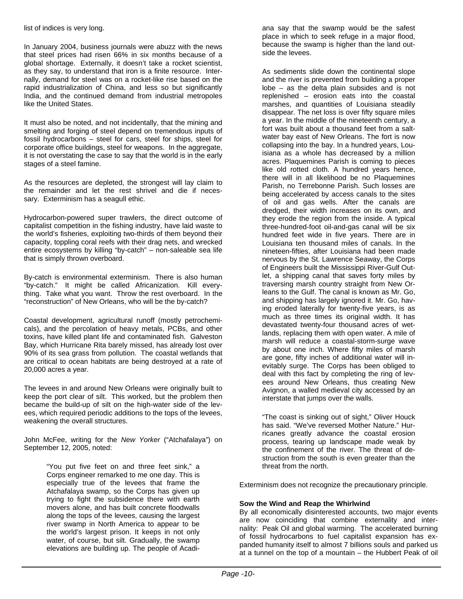In January 2004, business journals were abuzz with the news that steel prices had risen 66% in six months because of a global shortage. Externally, it doesn't take a rocket scientist, as they say, to understand that iron is a finite resource. Internally, demand for steel was on a rocket-like rise based on the rapid industrialization of China, and less so but significantly India, and the continued demand from industrial metropoles like the United States.

It must also be noted, and not incidentally, that the mining and smelting and forging of steel depend on tremendous inputs of fossil hydrocarbons – steel for cars, steel for ships, steel for corporate office buildings, steel for weapons. In the aggregate, it is not overstating the case to say that the world is in the early stages of a steel famine.

As the resources are depleted, the strongest will lay claim to the remainder and let the rest shrivel and die if necessary. Exterminism has a seagull ethic.

Hydrocarbon-powered super trawlers, the direct outcome of capitalist competition in the fishing industry, have laid waste to the world's fisheries, exploiting two-thirds of them beyond their capacity, toppling coral reefs with their drag nets, and wrecked entire ecosystems by killing "by-catch" – non-saleable sea life that is simply thrown overboard.

By-catch is environmental exterminism. There is also human "by-catch." It might be called Africanization. Kill everything. Take what you want. Throw the rest overboard. In the "reconstruction" of New Orleans, who will be the by-catch?

Coastal development, agricultural runoff (mostly petrochemicals), and the percolation of heavy metals, PCBs, and other toxins, have killed plant life and contaminated fish. Galveston Bay, which Hurricane Rita barely missed, has already lost over 90% of its sea grass from pollution. The coastal wetlands that are critical to ocean habitats are being destroyed at a rate of 20,000 acres a year.

The levees in and around New Orleans were originally built to keep the port clear of silt. This worked, but the problem then became the build-up of silt on the high-water side of the levees, which required periodic additions to the tops of the levees, weakening the overall structures.

John McFee, writing for the *New Yorker* ("Atchafalaya") on September 12, 2005, noted:

> "You put five feet on and three feet sink," a Corps engineer remarked to me one day. This is especially true of the levees that frame the Atchafalaya swamp, so the Corps has given up trying to fight the subsidence there with earth movers alone, and has built concrete floodwalls along the tops of the levees, causing the largest river swamp in North America to appear to be the world's largest prison. It keeps in not only water, of course, but silt. Gradually, the swamp elevations are building up. The people of Acadi

ana say that the swamp would be the safest place in which to seek refuge in a major flood, because the swamp is higher than the land outside the levees.

As sediments slide down the continental slope and the river is prevented from building a proper lobe – as the delta plain subsides and is not replenished – erosion eats into the coastal marshes, and quantities of Louisiana steadily disappear. The net loss is over fifty square miles a year. In the middle of the nineteenth century, a fort was built about a thousand feet from a saltwater bay east of New Orleans. The fort is now collapsing into the bay. In a hundred years, Louisiana as a whole has decreased by a million acres. Plaquemines Parish is coming to pieces like old rotted cloth. A hundred years hence, there will in all likelihood be no Plaquemines Parish, no Terrebonne Parish. Such losses are being accelerated by access canals to the sites of oil and gas wells. After the canals are dredged, their width increases on its own, and they erode the region from the inside. A typical three-hundred-foot oil-and-gas canal will be six hundred feet wide in five years. There are in Louisiana ten thousand miles of canals. In the nineteen-fifties, after Louisiana had been made nervous by the St. Lawrence Seaway, the Corps of Engineers built the Mississippi River-Gulf Outlet, a shipping canal that saves forty miles by traversing marsh country straight from New Orleans to the Gulf. The canal is known as Mr. Go, and shipping has largely ignored it. Mr. Go, having eroded laterally for twenty-five years, is as much as three times its original width. It has devastated twenty-four thousand acres of wetlands, replacing them with open water. A mile of marsh will reduce a coastal-storm-surge wave by about one inch. Where fifty miles of marsh are gone, fifty inches of additional water will inevitably surge. The Corps has been obliged to deal with this fact by completing the ring of levees around New Orleans, thus creating New Avignon, a walled medieval city accessed by an interstate that jumps over the walls.

"The coast is sinking out of sight," Oliver Houck has said. "We've reversed Mother Nature." Hurricanes greatly advance the coastal erosion process, tearing up landscape made weak by the confinement of the river. The threat of destruction from the south is even greater than the threat from the north.

Exterminism does not recognize the precautionary principle.

## **Sow the Wind and Reap the Whirlwind**

By all economically disinterested accounts, two major events are now coinciding that combine externality and internality: Peak Oil and global warming. The accelerated burning of fossil hydrocarbons to fuel capitalist expansion has expanded humanity itself to almost 7 billions souls and parked us at a tunnel on the top of a mountain – the Hubbert Peak of oil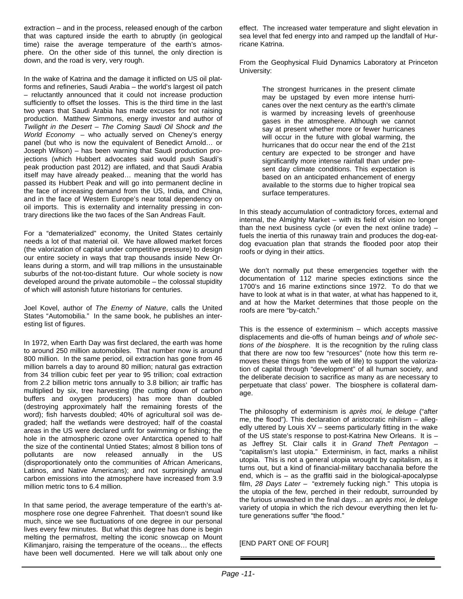extraction – and in the process, released enough of the carbon that was captured inside the earth to abruptly (in geological time) raise the average temperature of the earth's atmosphere. On the other side of this tunnel, the only direction is down, and the road is very, very rough.

In the wake of Katrina and the damage it inflicted on US oil platforms and refineries, Saudi Arabia – the world's largest oil patch – reluctantly announced that it could not increase production sufficiently to offset the losses. This is the third time in the last two years that Saudi Arabia has made excuses for not raising production. Matthew Simmons, energy investor and author of *Twilight in the Desert – The Coming Saudi Oil Shock and the World Economy* – who actually served on Cheney's energy panel (but who is now the equivalent of Benedict Arnold… or Joseph Wilson) – has been warning that Saudi production projections (which Hubbert advocates said would push Saudi's peak production past 2012) are inflated, and that Saudi Arabia itself may have already peaked… meaning that the world has passed its Hubbert Peak and will go into permanent decline in the face of increasing demand from the US, India, and China, and in the face of Western Europe's near total dependency on oil imports. This is externality and internality pressing in contrary directions like the two faces of the San Andreas Fault.

For a "dematerialized" economy, the United States certainly needs a lot of that material oil. We have allowed market forces (the valorization of capital under competitive pressure) to design our entire society in ways that trap thousands inside New Orleans during a storm, and will trap millions in the unsustainable suburbs of the not-too-distant future. Our whole society is now developed around the private automobile – the colossal stupidity of which will astonish future historians for centuries.

Joel Kovel, author of *The Enemy of Nature*, calls the United States "Automobilia." In the same book, he publishes an interesting list of figures.

In 1972, when Earth Day was first declared, the earth was home to around 250 million automobiles. That number now is around 800 million. In the same period, oil extraction has gone from 46 million barrels a day to around 80 million; natural gas extraction from 34 trillion cubic feet per year to 95 trillion; coal extraction from 2.2 billion metric tons annually to 3.8 billion; air traffic has multiplied by six, tree harvesting (the cutting down of carbon buffers and oxygen producers) has more than doubled (destroying approximately half the remaining forests of the word); fish harvests doubled; 40% of agricultural soil was degraded; half the wetlands were destroyed; half of the coastal areas in the US were declared unfit for swimming or fishing; the hole in the atmospheric ozone over Antarctica opened to half the size of the continental Untied States; almost 8 billion tons of pollutants are now released annually in the US (disproportionately onto the communities of African Americans, Latinos, and Native Americans); and not surprisingly annual carbon emissions into the atmosphere have increased from 3.9 million metric tons to 6.4 million.

In that same period, the average temperature of the earth's atmosphere rose one degree Fahrenheit. That doesn't sound like much, since we see fluctuations of one degree in our personal lives every few minutes. But what this degree has done is begin melting the permafrost, melting the iconic snowcap on Mount Kilimanjaro, raising the temperature of the oceans… the effects have been well documented. Here we will talk about only one effect. The increased water temperature and slight elevation in sea level that fed energy into and ramped up the landfall of Hurricane Katrina.

From the Geophysical Fluid Dynamics Laboratory at Princeton University:

> The strongest hurricanes in the present climate may be upstaged by even more intense hurricanes over the next century as the earth's climate is warmed by increasing levels of greenhouse gases in the atmosphere. Although we cannot say at present whether more or fewer hurricanes will occur in the future with global warming, the hurricanes that do occur near the end of the 21st century are expected to be stronger and have significantly more intense rainfall than under present day climate conditions. This expectation is based on an anticipated enhancement of energy available to the storms due to higher tropical sea surface temperatures.

In this steady accumulation of contradictory forces, external and internal, the Almighty Market – with its field of vision no longer than the next business cycle (or even the next online trade) – fuels the inertia of this runaway train and produces the dog-eatdog evacuation plan that strands the flooded poor atop their roofs or dying in their attics.

We don't normally put these emergencies together with the documentation of 112 marine species extinctions since the 1700's and 16 marine extinctions since 1972. To do that we have to look at what is in that water, at what has happened to it, and at how the Market determines that those people on the roofs are mere "by-catch."

This is the essence of exterminism – which accepts massive displacements and die-offs of human beings *and of whole sections of the biosphere*. It is the recognition by the ruling class that there are now too few "resources" (note how this term removes these things from the web of life) to support the valorization of capital through "development" of all human society, and the deliberate decision to sacrifice as many as are necessary to perpetuate that class' power. The biosphere is collateral damage.

The philosophy of exterminism is *après moi, le deluge* ("after me, the flood"). This declaration of aristocratic nihilism – allegedly uttered by Louis XV – seems particularly fitting in the wake of the US state's response to post-Katrina New Orleans. It is – as Jeffrey St. Clair calls it in *Grand Theft Pentagon* – "capitalism's last utopia." Exterminism, in fact, marks a nihilist utopia. This is not a general utopia wrought by capitalism, as it turns out, but a kind of financial-military bacchanalia before the end, which is – as the graffiti said in the biological-apocalypse film, *28 Days Later* – "extremely fucking nigh." This utopia is the utopia of the few, perched in their redoubt, surrounded by the furious unwashed in the final days… an *après moi, le deluge* variety of utopia in which the rich devour everything then let future generations suffer "the flood."

[END PART ONE OF FOUR]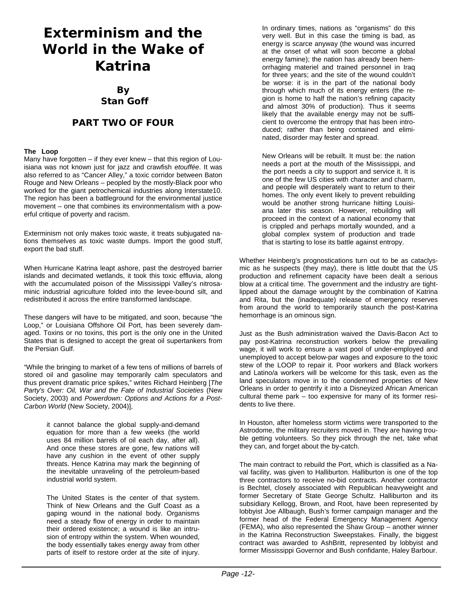## **Exterminism and the World in the Wake of Katrina**

## **By Stan Goff**

## **PART TWO OF FOUR**

#### **The Loop**

Many have forgotten – if they ever knew – that this region of Louisiana was not known just for jazz and crawfish *etouffée*. It was also referred to as "Cancer Alley," a toxic corridor between Baton Rouge and New Orleans – peopled by the mostly-Black poor who worked for the giant petrochemical industries along Interstate10. The region has been a battleground for the environmental justice movement – one that combines its environmentalism with a powerful critique of poverty and racism.

Exterminism not only makes toxic waste, it treats subjugated nations themselves as toxic waste dumps. Import the good stuff, export the bad stuff.

When Hurricane Katrina leapt ashore, past the destroyed barrier islands and decimated wetlands, it took this toxic effluvia, along with the accumulated poison of the Mississippi Valley's nitrosaminic industrial agriculture folded into the levee-bound silt, and redistributed it across the entire transformed landscape.

These dangers will have to be mitigated, and soon, because "the Loop," or Louisiana Offshore Oil Port, has been severely damaged. Toxins or no toxins, this port is the only one in the United States that is designed to accept the great oil supertankers from the Persian Gulf.

"While the bringing to market of a few tens of millions of barrels of stored oil and gasoline may temporarily calm speculators and thus prevent dramatic price spikes," writes Richard Heinberg [*The Party's Over: Oil, War and the Fate of Industrial Societies* (New Society, 2003) and *Powerdown: Options and Actions for a Post-Carbon World* (New Society, 2004)],

> it cannot balance the global supply-and-demand equation for more than a few weeks (the world uses 84 million barrels of oil each day, after all). And once these stores are gone, few nations will have any cushion in the event of other supply threats. Hence Katrina may mark the beginning of the inevitable unraveling of the petroleum-based industrial world system.

> The United States is the center of that system. Think of New Orleans and the Gulf Coast as a gaping wound in the national body. Organisms need a steady flow of energy in order to maintain their ordered existence; a wound is like an intrusion of entropy within the system. When wounded, the body essentially takes energy away from other parts of itself to restore order at the site of injury.

In ordinary times, nations as "organisms" do this very well. But in this case the timing is bad, as energy is scarce anyway (the wound was incurred at the onset of what will soon become a global energy famine); the nation has already been hemorrhaging materiel and trained personnel in Iraq for three years; and the site of the wound couldn't be worse: it is in the part of the national body through which much of its energy enters (the region is home to half the nation's refining capacity and almost 30% of production). Thus it seems likely that the available energy may not be sufficient to overcome the entropy that has been introduced; rather than being contained and eliminated, disorder may fester and spread.

New Orleans will be rebuilt. It must be: the nation needs a port at the mouth of the Mississippi, and the port needs a city to support and service it. It is one of the few US cities with character and charm, and people will desperately want to return to their homes. The only event likely to prevent rebuilding would be another strong hurricane hitting Louisiana later this season. However, rebuilding will proceed in the context of a national economy that is crippled and perhaps mortally wounded, and a global complex system of production and trade that is starting to lose its battle against entropy.

Whether Heinberg's prognostications turn out to be as cataclysmic as he suspects (they may), there is little doubt that the US production and refinement capacity have been dealt a serious blow at a critical time. The government and the industry are tightlipped about the damage wrought by the combination of Katrina and Rita, but the (inadequate) release of emergency reserves from around the world to temporarily staunch the post-Katrina hemorrhage is an ominous sign.

Just as the Bush administration waived the Davis-Bacon Act to pay post-Katrina reconstruction workers below the prevailing wage, it will work to ensure a vast pool of under-employed and unemployed to accept below-par wages and exposure to the toxic stew of the LOOP to repair it. Poor workers and Black workers and Latino/a workers will be welcome for this task, even as the land speculators move in to the condemned properties of New Orleans in order to gentrify it into a Disneyized African American cultural theme park – too expensive for many of its former residents to live there.

In Houston, after homeless storm victims were transported to the Astrodome, the military recruiters moved in. They are having trouble getting volunteers. So they pick through the net, take what they can, and forget about the by-catch.

The main contract to rebuild the Port, which is classified as a Naval facility, was given to Halliburton. Halliburton is one of the top three contractors to receive no-bid contracts. Another contractor is Bechtel, closely associated with Republican heavyweight and former Secretary of State George Schultz. Halliburton and its subsidiary Kellogg, Brown, and Root, have been represented by lobbyist Joe Allbaugh, Bush's former campaign manager and the former head of the Federal Emergency Management Agency (FEMA), who also represented the Shaw Group – another winner in the Katrina Reconstruction Sweepstakes. Finally, the biggest contract was awarded to AshBritt, represented by lobbyist and former Mississippi Governor and Bush confidante, Haley Barbour.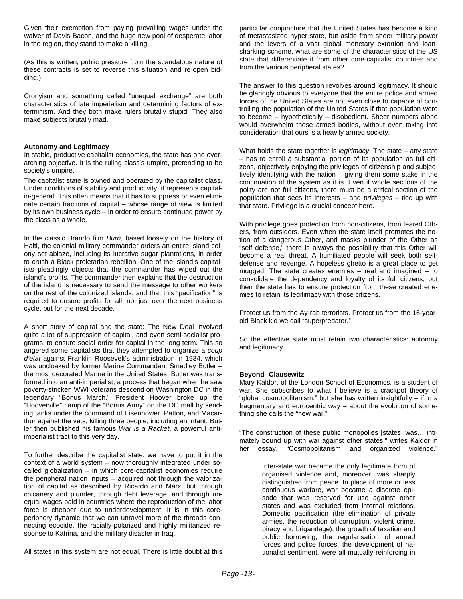Given their exemption from paying prevailing wages under the waiver of Davis-Bacon, and the huge new pool of desperate labor in the region, they stand to make a killing.

(As this is written, public pressure from the scandalous nature of these contracts is set to reverse this situation and re-open bidding.)

Cronyism and something called "unequal exchange" are both characteristics of late imperialism and determining factors of exterminism. And they both make rulers brutally stupid. They also make subjects brutally mad.

#### **Autonomy and Legitimacy**

In stable, productive capitalist economies, the state has one overarching objective. It is the ruling class's umpire, pretending to be society's umpire.

The capitalist state is owned and operated by the capitalist class. Under conditions of stability and productivity, it represents capitalin-general. This often means that it has to suppress or even eliminate certain fractions of capital – whose range of view is limited by its own business cycle – in order to ensure continued power by the class as a whole.

In the classic Brando film *Burn*, based loosely on the history of Haiti, the colonial military commander orders an entire island colony set ablaze, including its lucrative sugar plantations, in order to crush a Black proletarian rebellion. One of the island's capitalists pleadingly objects that the commander has wiped out the island's profits. The commander then explains that the destruction of the island is necessary to send the message to other workers on the rest of the colonized islands, and that this "pacification" is required to ensure profits for all, not just over the next business cycle, but for the next decade.

A short story of capital and the state: The New Deal involved quite a lot of suppression of capital, and even semi-socialist programs, to ensure social order for capital in the long term. This so angered some capitalists that they attempted to organize a *coup d'etat* against Franklin Roosevelt's administration in 1934, which was uncloaked by former Marine Commandant Smedley Butler – the most decorated Marine in the United States. Butler was transformed into an anti-imperialist, a process that began when he saw poverty-stricken WWI veterans descend on Washington DC in the legendary "Bonus March." President Hoover broke up the "Hooverville" camp of the "Bonus Army" on the DC mall by sending tanks under the command of Eisenhower, Patton, and Macarthur against the vets, killing three people, including an infant. Butler then published his famous *War is a Racket*, a powerful antiimperialist tract to this very day.

To further describe the capitalist state, we have to put it in the context of a world system – now thoroughly integrated under socalled globalization – in which core-capitalist economies require the peripheral nation inputs – acquired not through the valorization of capital as described by Ricardo and Marx, but through chicanery and plunder, through debt leverage, and through unequal wages paid in countries where the reproduction of the labor force is cheaper due to underdevelopment. It is in this coreperiphery dynamic that we can unravel more of the threads connecting ecocide, the racially-polarized and highly militarized response to Katrina, and the military disaster in Iraq.

All states in this system are not equal. There is little doubt at this

particular conjuncture that the United States has become a kind of metastasized hyper-state, but aside from sheer military power and the levers of a vast global monetary extortion and loansharking scheme, what are some of the characteristics of the US state that differentiate it from other core-capitalist countries and from the various peripheral states?

The answer to this question revolves around legitimacy. It should be glaringly obvious to everyone that the entire police and armed forces of the United States are not even close to capable of controlling the population of the United States if that population were to become – hypothetically – disobedient. Sheer numbers alone would overwhelm these armed bodies, without even taking into consideration that ours is a heavily armed society.

What holds the state together is *legitimacy*. The state – any state – has to enroll a substantial portion of its population as full citizens, objectively enjoying the privileges of citizenship and subjectively identifying with the nation – giving them some stake in the continuation of the system as it is. Even if whole sections of the polity are not full citizens, there must be a critical section of the population that sees its interests – and *privileges* – tied up with that state. Privilege is a crucial concept here.

With privilege goes protection from non-citizens, from feared Others, from outsiders. Even when the state itself promotes the notion of a dangerous Other, and masks plunder of the Other as "self defense," there is always the possibility that this Other will become a real threat. A humiliated people will seek both selfdefense and revenge. A hopeless ghetto is a great place to get mugged. The state creates enemies  $-$  real and imagined  $-$  to consolidate the dependency and loyalty of its full citizens; but then the state has to ensure protection from these created enemies to retain its legitimacy with those citizens.

Protect us from the Ay-rab terrorists. Protect us from the 16-yearold Black kid we call "superpredator."

So the effective state must retain two characteristics: autonmy and legitimacy.

## **Beyond Clausewitz**

Mary Kaldor, of the London School of Economics, is a student of war. She subscribes to what I believe is a crackpot theory of "global cosmopolitanism," but she has written insightfully – if in a fragmentary and eurocentric way – about the evolution of something she calls the "new war."

"The construction of these public monopolies [states] was… intimately bound up with war against other states," writes Kaldor in her essay, "Cosmopolitanism and organized violence."

> Inter-state war became the only legitimate form of organised violence and, moreover, was sharply distinguished from peace. In place of more or less continuous warfare, war became a discrete episode that was reserved for use against other states and was excluded from internal relations. Domestic pacification (the elimination of private armies, the reduction of corruption, violent crime, piracy and brigandage), the growth of taxation and public borrowing, the regularisation of armed forces and police forces, the development of nationalist sentiment, were all mutually reinforcing in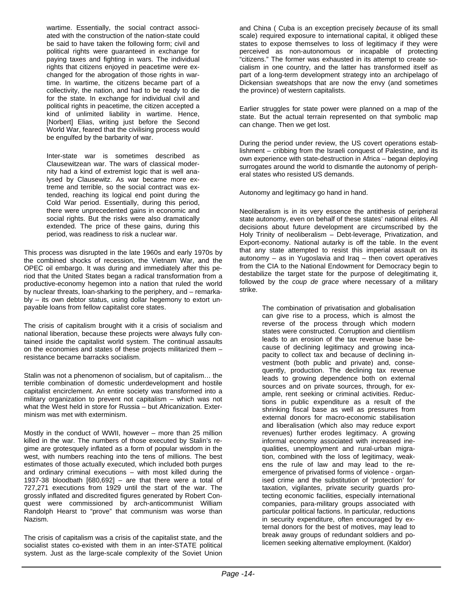wartime. Essentially, the social contract associated with the construction of the nation-state could be said to have taken the following form; civil and political rights were guaranteed in exchange for paying taxes and fighting in wars. The individual rights that citizens enjoyed in peacetime were exchanged for the abrogation of those rights in wartime. In wartime, the citizens became part of a collectivity, the nation, and had to be ready to die for the state. In exchange for individual civil and political rights in peacetime, the citizen accepted a kind of unlimited liability in wartime. Hence, [Norbert] Elias, writing just before the Second World War, feared that the civilising process would be engulfed by the barbarity of war.

Inter-state war is sometimes described as Clausewitzean war. The wars of classical modernity had a kind of extremist logic that is well analysed by Clausewitz. As war became more extreme and terrible, so the social contract was extended, reaching its logical end point during the Cold War period. Essentially, during this period, there were unprecedented gains in economic and social rights. But the risks were also dramatically extended. The price of these gains, during this period, was readiness to risk a nuclear war.

This process was disrupted in the late 1960s and early 1970s by the combined shocks of recession, the Vietnam War, and the OPEC oil embargo. It was during and immediately after this period that the United States began a radical transformation from a productive-economy hegemon into a nation that ruled the world by nuclear threats, loan-sharking to the periphery, and – remarkably – its own debtor status, using dollar hegemony to extort unpayable loans from fellow capitalist core states.

The crisis of capitalism brought with it a crisis of socialism and national liberation, because these projects were always fully contained inside the capitalist world system. The continual assaults on the economies and states of these projects militarized them – resistance became barracks socialism.

Stalin was not a phenomenon of socialism, but of capitalism… the terrible combination of domestic underdevelopment and hostile capitalist encirclement. An entire society was transformed into a military organization to prevent not capitalism – which was not what the West held in store for Russia – but Africanization. Exterminism was met with exterminism.

Mostly in the conduct of WWII, however – more than 25 million killed in the war. The numbers of those executed by Stalin's regime are grotesquely inflated as a form of popular wisdom in the west, with numbers reaching into the tens of millions. The best estimates of those actually executed, which included both purges and ordinary criminal executions – with most killed during the 1937-38 bloodbath [680,692] – are that there were a total of 727,271 executions from 1929 until the start of the war. The grossly inflated and discredited figures generated by Robert Conquest were commissioned by arch-anticommunist William Randolph Hearst to "prove" that communism was worse than Nazism.

The crisis of capitalism was a crisis of the capitalist state, and the socialist states co-existed with them in an inter-STATE political system. Just as the large-scale complexity of the Soviet Union and China ( Cuba is an exception precisely *because* of its small scale) required exposure to international capital, it obliged these states to expose themselves to loss of legitimacy if they were perceived as non-autonomous or incapable of protecting "citizens." The former was exhausted in its attempt to create socialism in one country, and the latter has transformed itself as part of a long-term development strategy into an archipelago of Dickensian sweatshops that are now the envy (and sometimes the province) of western capitalists.

Earlier struggles for state power were planned on a map of the state. But the actual terrain represented on that symbolic map can change. Then we get lost.

During the period under review, the US covert operations establishment – cribbing from the Israeli conquest of Palestine, and its own experience with state-destruction in Africa – began deploying surrogates around the world to dismantle the autonomy of peripheral states who resisted US demands.

Autonomy and legitimacy go hand in hand.

Neoliberalism is in its very essence the antithesis of peripheral state autonomy, even on behalf of these states' national elites. All decisions about future development are circumscribed by the Holy Trinity of neoliberalism – Debt-leverage, Privatization, and Export-economy. National autarky is off the table. In the event that any state attempted to resist this imperial assault on its autonomy – as in Yugoslavia and Iraq – then covert operatives from the CIA to the National Endowment for Democracy begin to destabilize the target state for the purpose of delegitimating it, followed by the *coup de grace* where necessary of a military strike.

> The combination of privatisation and globalisation can give rise to a process, which is almost the reverse of the process through which modern states were constructed. Corruption and clientilism leads to an erosion of the tax revenue base because of declining legitimacy and growing incapacity to collect tax and because of declining investment (both public and private) and, consequently, production. The declining tax revenue leads to growing dependence both on external sources and on private sources, through, for example, rent seeking or criminal activities. Reductions in public expenditure as a result of the shrinking fiscal base as well as pressures from external donors for macro-economic stabilisation and liberalisation (which also may reduce export revenues) further erodes legitimacy. A growing informal economy associated with increased inequalities, unemployment and rural-urban migration, combined with the loss of legitimacy, weakens the rule of law and may lead to the reemergence of privatised forms of violence - organised crime and the substitution of 'protection' for taxation, vigilantes, private security guards protecting economic facilities, especially international companies, para-military groups associated with particular political factions. In particular, reductions in security expenditure, often encouraged by external donors for the best of motives, may lead to break away groups of redundant soldiers and policemen seeking alternative employment. (Kaldor)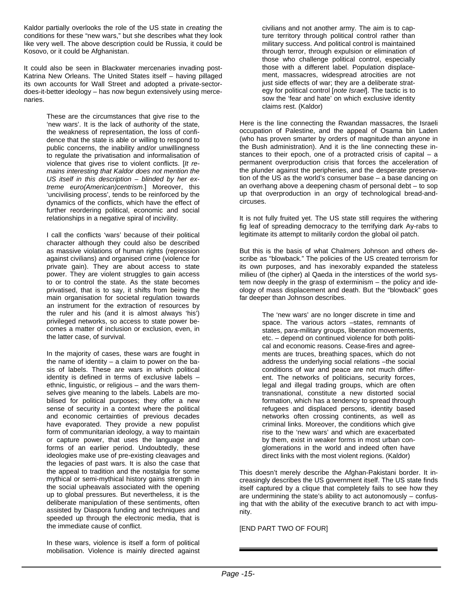Kaldor partially overlooks the role of the US state in *creating* the conditions for these "new wars," but she describes what they look like very well. The above description could be Russia, it could be Kosovo, or it could be Afghanistan.

It could also be seen in Blackwater mercenaries invading post-Katrina New Orleans. The United States itself – having pillaged its own accounts for Wall Street and adopted a private-sectordoes-it-better ideology – has now begun extensively using mercenaries.

> These are the circumstances that give rise to the 'new wars'. It is the lack of authority of the state, the weakness of representation, the loss of confidence that the state is able or willing to respond to public concerns, the inability and/or unwillingness to regulate the privatisation and informalisation of violence that gives rise to violent conflicts. [*It remains interesting that Kaldor does not mention the US itself in this description – blinded by her extreme euro(American)centrism*.] Moreover, this 'uncivilising process', tends to be reinforced by the dynamics of the conflicts, which have the effect of further reordering political, economic and social relationships in a negative spiral of incivility.

> I call the conflicts 'wars' because of their political character although they could also be described as massive violations of human rights (repression against civilians) and organised crime (violence for private gain). They are about access to state power. They are violent struggles to gain access to or to control the state. As the state becomes privatised, that is to say, it shifts from being the main organisation for societal regulation towards an instrument for the extraction of resources by the ruler and his (and it is almost always 'his') privileged networks, so access to state power becomes a matter of inclusion or exclusion, even, in the latter case, of survival.

> In the majority of cases, these wars are fought in the name of identity  $-$  a claim to power on the basis of labels. These are wars in which political identity is defined in terms of exclusive labels – ethnic, linguistic, or religious – and the wars themselves give meaning to the labels. Labels are mobilised for political purposes; they offer a new sense of security in a context where the political and economic certainties of previous decades have evaporated. They provide a new populist form of communitarian ideology, a way to maintain or capture power, that uses the language and forms of an earlier period. Undoubtedly, these ideologies make use of pre-existing cleavages and the legacies of past wars. It is also the case that the appeal to tradition and the nostalgia for some mythical or semi-mythical history gains strength in the social upheavals associated with the opening up to global pressures. But nevertheless, it is the deliberate manipulation of these sentiments, often assisted by Diaspora funding and techniques and speeded up through the electronic media, that is the immediate cause of conflict.

> In these wars, violence is itself a form of political mobilisation. Violence is mainly directed against

civilians and not another army. The aim is to capture territory through political control rather than military success. And political control is maintained through terror, through expulsion or elimination of those who challenge political control, especially those with a different label. Population displacement, massacres, widespread atrocities are not just side effects of war; they are a deliberate strategy for political control [*note Israel*]. The tactic is to sow the 'fear and hate' on which exclusive identity claims rest. (Kaldor)

Here is the line connecting the Rwandan massacres, the Israeli occupation of Palestine, and the appeal of Osama bin Laden (who has proven smarter by orders of magnitude than anyone in the Bush administration). And it is the line connecting these instances to their epoch, one of a protracted crisis of capital  $-$  a permanent overproduction crisis that forces the acceleration of the plunder against the peripheries, and the desperate preservation of the US as the world's consumer base – a base dancing on an overhang above a deepening chasm of personal debt – to sop up that overproduction in an orgy of technological bread-andcircuses.

It is not fully fruited yet. The US state still requires the withering fig leaf of spreading democracy to the terrifying dark Ay-rabs to legitimate its attempt to militarily cordon the global oil patch.

But this is the basis of what Chalmers Johnson and others describe as "blowback." The policies of the US created terrorism for its own purposes, and has inexorably expanded the stateless milieu of (the cipher) al Qaeda in the interstices of the world system now deeply in the grasp of exterminism – the policy and ideology of mass displacement and death. But the "blowback" goes far deeper than Johnson describes.

> The 'new wars' are no longer discrete in time and space. The various actors –states, remnants of states, para-military groups, liberation movements, etc. – depend on continued violence for both political and economic reasons. Cease-fires and agreements are truces, breathing spaces, which do not address the underlying social relations –the social conditions of war and peace are not much different. The networks of politicians, security forces, legal and illegal trading groups, which are often transnational, constitute a new distorted social formation, which has a tendency to spread through refugees and displaced persons, identity based networks often crossing continents, as well as criminal links. Moreover, the conditions which give rise to the 'new wars' and which are exacerbated by them, exist in weaker forms in most urban conglomerations in the world and indeed often have direct links with the most violent regions. (Kaldor)

This doesn't merely describe the Afghan-Pakistani border. It increasingly describes the US government itself. The US state finds itself captured by a clique that completely fails to see how they are undermining the state's ability to act autonomously – confusing that with the ability of the executive branch to act with impunity.

[END PART TWO OF FOUR]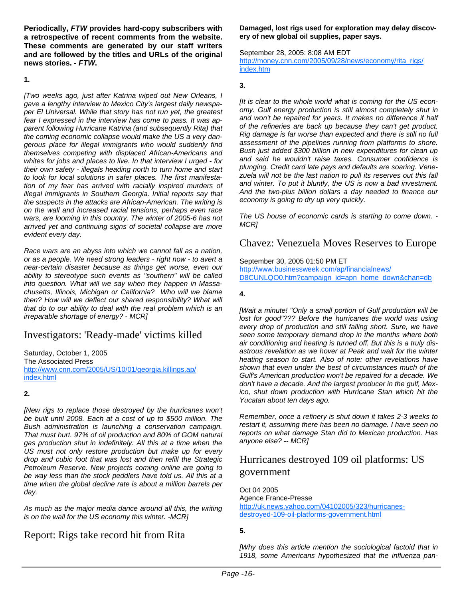**Periodically,** *FTW* **provides hard-copy subscribers with a retrospective of recent comments from the website. These comments are generated by our staff writers and are followed by the titles and URLs of the original news stories. -** *FTW***.** 

**1.** 

*[Two weeks ago, just after Katrina wiped out New Orleans, I gave a lengthy interview to Mexico City's largest daily newspaper El Universal. While that story has not run yet, the greatest fear I expressed in the interview has come to pass. It was apparent following Hurricane Katrina (and subsequently Rita) that the coming economic collapse would make the US a very dangerous place for illegal immigrants who would suddenly find themselves competing with displaced African-Americans and whites for jobs and places to live. In that interview I urged - for their own safety - illegals heading north to turn home and start to look for local solutions in safer places. The first manifestation of my fear has arrived with racially inspired murders of illegal immigrants in Southern Georgia. Initial reports say that the suspects in the attacks are African-American. The writing is on the wall and increased racial tensions, perhaps even race wars, are looming in this country. The winter of 2005-6 has not arrived yet and continuing signs of societal collapse are more evident every day.* 

*Race wars are an abyss into which we cannot fall as a nation, or as a people. We need strong leaders - right now - to avert a near-certain disaster because as things get worse, even our ability to stereotype such events as "southern" will be called into question. What will we say when they happen in Massachusetts, Illinois, Michigan or California? Who will we blame then? How will we deflect our shared responsibility? What will that do to our ability to deal with the real problem which is an irreparable shortage of energy? - MCR]* 

## Investigators: 'Ready-made' victims killed

Saturday, October 1, 2005 The Associated Press http://www.cnn.com/2005/US/10/01/georgia.killings.ap/ index.html

**2.** 

*[New rigs to replace those destroyed by the hurricanes won't be built until 2008. Each at a cost of up to \$500 million. The Bush administration is launching a conservation campaign. That must hurt. 97% of oil production and 80% of GOM natural gas production shut in indefinitely. All this at a time when the US must not only restore production but make up for every drop and cubic foot that was lost and then refill the Strategic Petroleum Reserve. New projects coming online are going to be way less than the stock peddlers have told us. All this at a time when the global decline rate is about a million barrels per day.* 

*As much as the major media dance around all this, the writing is on the wall for the US economy this winter. -MCR]* 

## Report: Rigs take record hit from Rita

**Damaged, lost rigs used for exploration may delay discovery of new global oil supplies, paper says.** 

September 28, 2005: 8:08 AM EDT http://money.cnn.com/2005/09/28/news/economy/rita\_rigs/ index.htm

## **3.**

*[It is clear to the whole world what is coming for the US economy. Gulf energy production is still almost completely shut in and won't be repaired for years. It makes no difference if half of the refineries are back up because they can't get product. Rig damage is far worse than expected and there is still no full assessment of the pipelines running from platforms to shore. Bush just added \$300 billion in new expenditures for clean up and said he wouldn't raise taxes. Consumer confidence is plunging. Credit card late pays and defaults are soaring. Venezuela will not be the last nation to pull its reserves out this fall and winter. To put it bluntly, the US is now a bad investment. And the two-plus billion dollars a day needed to finance our economy is going to dry up very quickly.* 

*The US house of economic cards is starting to come down. - MCR]* 

Chavez: Venezuela Moves Reserves to Europe

September 30, 2005 01:50 PM ET

http://www.businessweek.com/ap/financialnews/ D8CUNLQO0.htm?campaign\_id=apn\_home\_down&chan=db

## **4.**

*[Wait a minute! "Only a small portion of Gulf production will be*  lost for good"??? Before the hurricanes the world was using *every drop of production and still falling short. Sure, we have seen some temporary demand drop in the months where both air conditioning and heating is turned off. But this is a truly disastrous revelation as we hover at Peak and wait for the winter heating season to start. Also of note: other revelations have shown that even under the best of circumstances much of the Gulf's American production won't be repaired for a decade. We don't have a decade. And the largest producer in the gulf, Mexico, shut down production with Hurricane Stan which hit the Yucatan about ten days ago.* 

*Remember, once a refinery is shut down it takes 2-3 weeks to restart it, assuming there has been no damage. I have seen no reports on what damage Stan did to Mexican production. Has anyone else? -- MCR]* 

## Hurricanes destroyed 109 oil platforms: US government

Oct 04 2005 Agence France-Presse http://uk.news.yahoo.com/04102005/323/hurricanesdestroyed-109-oil-platforms-government.html

## **5.**

*[Why does this article mention the sociological factoid that in 1918, some Americans hypothesized that the influenza pan-*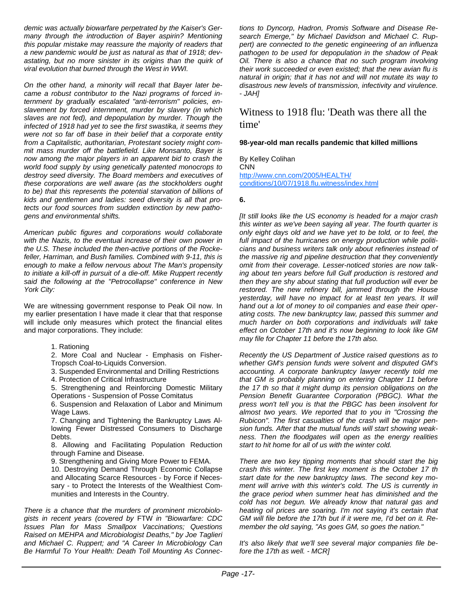*demic was actually biowarfare perpetrated by the Kaiser's Germany through the introduction of Bayer aspirin? Mentioning this popular mistake may reassure the majority of readers that a new pandemic would be just as natural as that of 1918; devastating, but no more sinister in its origins than the quirk of viral evolution that burned through the West in WWI.* 

*On the other hand, a minority will recall that Bayer later became a robust contributor to the Nazi programs of forced internment by gradually escalated "anti-terrorism" policies, enslavement by forced internment, murder by slavery (in which slaves are not fed), and depopulation by murder. Though the infected of 1918 had yet to see the first swastika, it seems they were not so far off base in their belief that a corporate entity from a Capitalistic, authoritarian, Protestant society might commit mass murder off the battlefield. Like Monsanto, Bayer is now among the major players in an apparent bid to crash the world food supply by using genetically patented monocrops to destroy seed diversity. The Board members and executives of these corporations are well aware (as the stockholders ought to be) that this represents the potential starvation of billions of kids and gentlemen and ladies: seed diversity is all that protects our food sources from sudden extinction by new pathogens and environmental shifts.* 

*American public figures and corporations would collaborate with the Nazis, to the eventual increase of their own power in the U.S. These included the then-active portions of the Rockefeller, Harriman, and Bush families. Combined with 9-11, this is enough to make a fellow nervous about The Man's propensity to initiate a kill-off in pursuit of a die-off. Mike Ruppert recently said the following at the "Petrocollapse" conference in New York City:* 

We are witnessing government response to Peak Oil now. In my earlier presentation I have made it clear that that response will include only measures which protect the financial elites and major corporations. They include:

1. Rationing

2. More Coal and Nuclear - Emphasis on Fisher-Tropsch Coal-to-Liquids Conversion.

3. Suspended Environmental and Drilling Restrictions

4. Protection of Critical Infrastructure

5. Strengthening and Reinforcing Domestic Military Operations - Suspension of Posse Comitatus

6. Suspension and Relaxation of Labor and Minimum Wage Laws.

7. Changing and Tightening the Bankruptcy Laws Allowing Fewer Distressed Consumers to Discharge Debts.

8. Allowing and Facilitating Population Reduction through Famine and Disease.

9. Strengthening and Giving More Power to FEMA.

10. Destroying Demand Through Economic Collapse and Allocating Scarce Resources - by Force if Necessary - to Protect the Interests of the Wealthiest Communities and Interests in the Country.

*There is a chance that the murders of prominent microbiologists in recent years (covered by* FTW *in "Biowarfare: CDC Issues Plan for Mass Smallpox Vaccinations; Questions Raised on MEHPA and Microbiologist Deaths," by Joe Taglieri and Michael C. Ruppert; and "A Career In Microbiology Can Be Harmful To Your Health: Death Toll Mounting As Connec-* *tions to Dyncorp, Hadron, Promis Software and Disease Research Emerge," by Michael Davidson and Michael C. Ruppert) are connected to the genetic engineering of an influenza pathogen to be used for depopulation in the shadow of Peak Oil. There is also a chance that no such program involving their work succeeded or even existed; that the new avian flu is natural in origin; that it has not and will not mutate its way to disastrous new levels of transmission, infectivity and virulence. - JAH]*

## Witness to 1918 flu: 'Death was there all the time'

#### **98-year-old man recalls pandemic that killed millions**

By Kelley Colihan **CNN** http://www.cnn.com/2005/HEALTH/ conditions/10/07/1918.flu.witness/index.html

## **6.**

*[It still looks like the US economy is headed for a major crash this winter as we've been saying all year. The fourth quarter is only eight days old and we have yet to be told, or to feel, the full impact of the hurricanes on energy production while politicians and business writers talk only about refineries instead of the massive rig and pipeline destruction that they conveniently omit from their coverage. Lesser-noticed stories are now talking about ten years before full Gulf production is restored and then they are shy about stating that full production will ever be restored. The new refinery bill, jammed through the House yesterday, will have no impact for at least ten years. It will hand out a lot of money to oil companies and ease their operating costs. The new bankruptcy law, passed this summer and much harder on both corporations and individuals will take effect on October 17th and it's now beginning to look like GM may file for Chapter 11 before the 17th also.* 

*Recently the US Department of Justice raised questions as to whether GM's pension funds were solvent and disputed GM's accounting. A corporate bankruptcy lawyer recently told me that GM is probably planning on entering Chapter 11 before the 17 th so that it might dump its pension obligations on the Pension Benefit Guarantee Corporation (PBGC). What the press won't tell you is that the PBGC has been insolvent for almost two years. We reported that to you in "Crossing the Rubicon". The first casualties of the crash will be major pension funds. After that the mutual funds will start showing weakness. Then the floodgates will open as the energy realities start to hit home for all of us with the winter cold.* 

*There are two key tipping moments that should start the big crash this winter. The first key moment is the October 17 th start date for the new bankruptcy laws. The second key moment will arrive with this winter's cold. The US is currently in the grace period when summer heat has diminished and the cold has not begun. We already know that natural gas and heating oil prices are soaring. I'm not saying it's certain that GM will file before the 17th but if it were me, I'd bet on it. Remember the old saying, "As goes GM, so goes the nation."* 

*It's also likely that we'll see several major companies file before the 17th as well. - MCR]*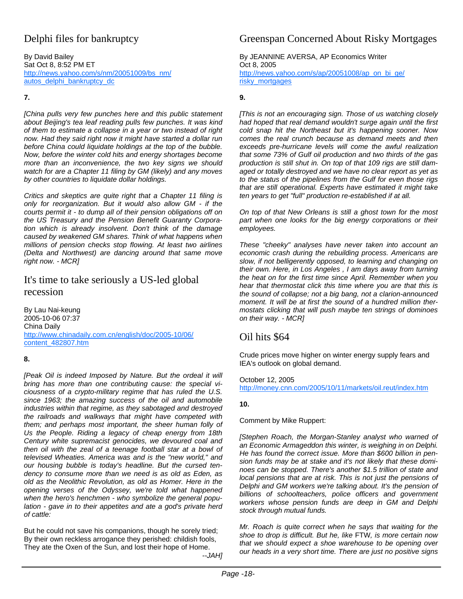## Delphi files for bankruptcy

By David Bailey Sat Oct 8, 8:52 PM ET http://news.yahoo.com/s/nm/20051009/bs\_nm/ autos\_delphi\_bankruptcy\_dc

## **7.**

*[China pulls very few punches here and this public statement about Beijing's tea leaf reading pulls few punches. It was kind of them to estimate a collapse in a year or two instead of right now. Had they said right now it might have started a dollar run before China could liquidate holdings at the top of the bubble. Now, before the winter cold hits and energy shortages become more than an inconvenience, the two key signs we should watch for are a Chapter 11 filing by GM (likely) and any moves by other countries to liquidate dollar holdings.* 

*Critics and skeptics are quite right that a Chapter 11 filing is only for reorganization. But it would also allow GM - if the courts permit it - to dump all of their pension obligations off on the US Treasury and the Pension Benefit Guaranty Corporation which is already insolvent. Don't think of the damage caused by weakened GM shares. Think of what happens when millions of pension checks stop flowing. At least two airlines (Delta and Northwest) are dancing around that same move right now. - MCR]* 

## It's time to take seriously a US-led global recession

By Lau Nai-keung 2005-10-06 07:37 China Daily http://www.chinadaily.com.cn/english/doc/2005-10/06/ content\_482807.htm

## **8.**

*[Peak Oil is indeed Imposed by Nature. But the ordeal it will bring has more than one contributing cause: the special viciousness of a crypto-military regime that has ruled the U.S. since 1963; the amazing success of the oil and automobile industries within that regime, as they sabotaged and destroyed the railroads and walkways that might have competed with them; and perhaps most important, the sheer human folly of Us the People. Riding a legacy of cheap energy from 18th Century white supremacist genocides, we devoured coal and then oil with the zeal of a teenage football star at a bowl of televised Wheaties. America was and is the "new world," and our housing bubble is today's headline. But the cursed tendency to consume more than we need is as old as Eden, as old as the Neolithic Revolution, as old as Homer. Here in the opening verses of the Odyssey, we're told what happened when the hero's henchmen - who symbolize the general population - gave in to their appetites and ate a god's private herd of cattle:* 

But he could not save his companions, though he sorely tried; By their own reckless arrogance they perished: childish fools, They ate the Oxen of the Sun, and lost their hope of Home. *--JAH]* 

## Greenspan Concerned About Risky Mortgages

By JEANNINE AVERSA, AP Economics Writer Oct 8, 2005 http://news.yahoo.com/s/ap/20051008/ap\_on\_bi\_ge/ risky\_mortgages

## **9.**

*[This is not an encouraging sign. Those of us watching closely had hoped that real demand wouldn't surge again until the first cold snap hit the Northeast but it's happening sooner. Now comes the real crunch because as demand meets and then exceeds pre-hurricane levels will come the awful realization that some 73% of Gulf oil production and two thirds of the gas production is still shut in. On top of that 109 rigs are still damaged or totally destroyed and we have no clear report as yet as to the status of the pipelines from the Gulf for even those rigs that are still operational. Experts have estimated it might take ten years to get "full" production re-established if at all.* 

*On top of that New Orleans is still a ghost town for the most part when one looks for the big energy corporations or their employees.* 

*These "cheeky" analyses have never taken into account an economic crash during the rebuilding process. Americans are slow, if not belligerently opposed, to learning and changing on their own. Here, in Los Angeles , I am days away from turning the heat on for the first time since April. Remember when you hear that thermostat click this time where you are that this is the sound of collapse; not a big bang, not a clarion-announced moment. It will be at first the sound of a hundred million thermostats clicking that will push maybe ten strings of dominoes on their way. - MCR]*

## Oil hits \$64

Crude prices move higher on winter energy supply fears and IEA's outlook on global demand.

## October 12, 2005

http://money.cnn.com/2005/10/11/markets/oil.reut/index.htm

## **10.**

#### Comment by Mike Ruppert:

*[Stephen Roach, the Morgan-Stanley analyst who warned of an Economic Armageddon this winter, is weighing in on Delphi. He has found the correct issue. More than \$600 billion in pension funds may be at stake and it's not likely that these dominoes can be stopped. There's another \$1.5 trillion of state and local pensions that are at risk. This is not just the pensions of Delphi and GM workers we're talking about. It's the pension of billions of schoolteachers, police officers and government workers whose pension funds are deep in GM and Delphi stock through mutual funds.* 

*Mr. Roach is quite correct when he says that waiting for the shoe to drop is difficult. But he, like* FTW*, is more certain now that we should expect a shoe warehouse to be opening over our heads in a very short time. There are just no positive signs*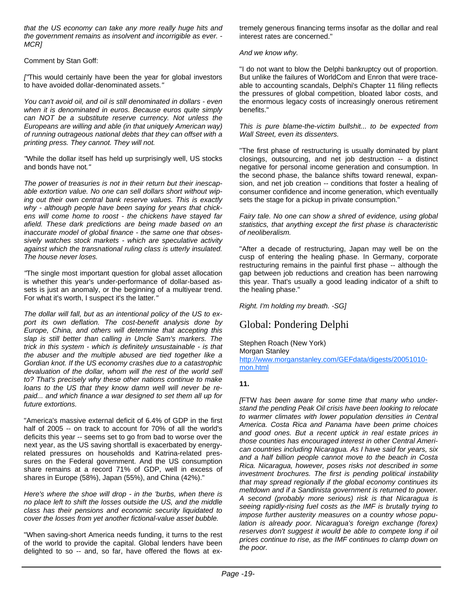*that the US economy can take any more really huge hits and the government remains as insolvent and incorrigible as ever. - MCR]* 

Comment by Stan Goff:

*["*This would certainly have been the year for global investors to have avoided dollar-denominated assets*."* 

*You can't avoid oil, and oil is still denominated in dollars - even when it is denominated in euros. Because euros quite simply can NOT be a substitute reserve currency. Not unless the Europeans are willing and able (in that uniquely American way) of running outrageous national debts that they can offset with a printing press. They cannot. They will not.* 

*"*While the dollar itself has held up surprisingly well, US stocks and bonds have not*."* 

*The power of treasuries is not in their return but their inescapable extortion value. No one can sell dollars short without wiping out their own central bank reserve values. This is exactly why - although people have been saying for years that chickens will come home to roost - the chickens have stayed far afield. These dark predictions are being made based on an inaccurate model of global finance - the same one that obsessively watches stock markets - which are speculative activity against which the transnational ruling class is utterly insulated. The house never loses.* 

*"*The single most important question for global asset allocation is whether this year's under-performance of dollar-based assets is just an anomaly, or the beginning of a multiyear trend. For what it's worth, I suspect it's the latter*."* 

*The dollar will fall, but as an intentional policy of the US to export its own deflation. The cost-benefit analysis done by Europe, China, and others will determine that accepting this slap is still better than calling in Uncle Sam's markers. The trick in this system - which is definitely unsustainable - is that the abuser and the multiple abused are tied together like a Gordian knot. If the US economy crashes due to a catastrophic*  devaluation of the dollar, whom will the rest of the world sell *to? That's precisely why these other nations continue to make loans to the US that they know damn well will never be repaid... and which finance a war designed to set them all up for future extortions.* 

"America's massive external deficit of 6.4% of GDP in the first half of 2005 -- on track to account for 70% of all the world's deficits this year -- seems set to go from bad to worse over the next year, as the US saving shortfall is exacerbated by energyrelated pressures on households and Katrina-related pressures on the Federal government. And the US consumption share remains at a record 71% of GDP, well in excess of shares in Europe (58%), Japan (55%), and China (42%)."

*Here's where the shoe will drop - in the 'burbs, when there is no place left to shift the losses outside the US, and the middle class has their pensions and economic security liquidated to cover the losses from yet another fictional-value asset bubble.* 

"When saving-short America needs funding, it turns to the rest of the world to provide the capital. Global lenders have been delighted to so -- and, so far, have offered the flows at extremely generous financing terms insofar as the dollar and real interest rates are concerned."

## *And we know why.*

"I do not want to blow the Delphi bankruptcy out of proportion. But unlike the failures of WorldCom and Enron that were traceable to accounting scandals, Delphi's Chapter 11 filing reflects the pressures of global competition, bloated labor costs, and the enormous legacy costs of increasingly onerous retirement benefits."

#### *This is pure blame-the-victim bullshit... to be expected from Wall Street, even its dissenters.*

"The first phase of restructuring is usually dominated by plant closings, outsourcing, and net job destruction -- a distinct negative for personal income generation and consumption. In the second phase, the balance shifts toward renewal, expansion, and net job creation -- conditions that foster a healing of consumer confidence and income generation, which eventually sets the stage for a pickup in private consumption."

*Fairy tale. No one can show a shred of evidence, using global statistics, that anything except the first phase is characteristic of neoliberalism.* 

"After a decade of restructuring, Japan may well be on the cusp of entering the healing phase. In Germany, corporate restructuring remains in the painful first phase -- although the gap between job reductions and creation has been narrowing this year. That's usually a good leading indicator of a shift to the healing phase."

*Right. I'm holding my breath. -SG]* 

## Global: Pondering Delphi

Stephen Roach (New York) Morgan Stanley http://www.morganstanley.com/GEFdata/digests/20051010 mon.html

## **11.**

*[*FTW *has been aware for some time that many who understand the pending Peak Oil crisis have been looking to relocate to warmer climates with lower population densities in Central America. Costa Rica and Panama have been prime choices and good ones. But a recent uptick in real estate prices in those counties has encouraged interest in other Central American countries including Nicaragua. As I have said for years, six and a half billion people cannot move to the beach in Costa Rica. Nicaragua, however, poses risks not described in some investment brochures. The first is pending political instability that may spread regionally if the global economy continues its meltdown and if a Sandinista government is returned to power. A second (probably more serious) risk is that Nicaragua is seeing rapidly-rising fuel costs as the IMF is brutally trying to impose further austerity measures on a country whose population is already poor. Nicaragua's foreign exchange (forex) reserves don't suggest it would be able to compete long if oil prices continue to rise, as the IMF continues to clamp down on the poor.*